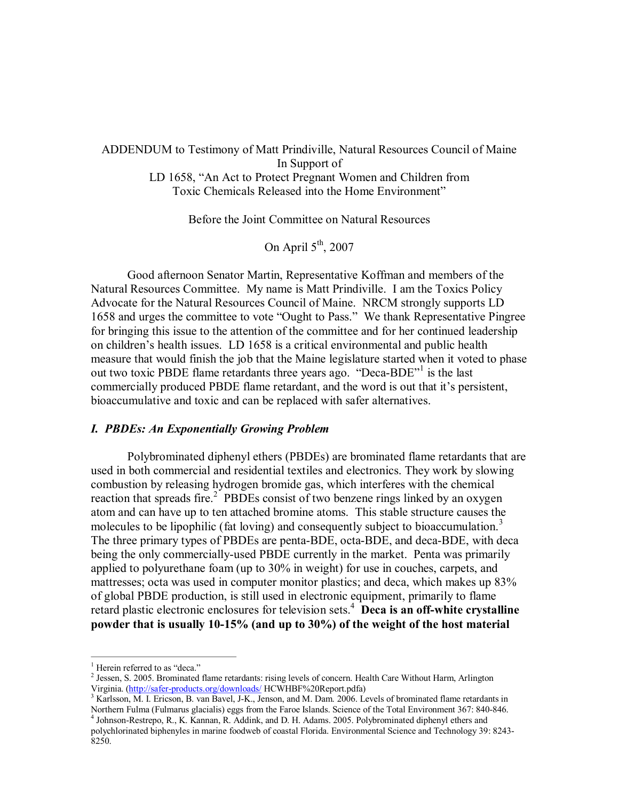# ADDENDUM to Testimony of Matt Prindiville, Natural Resources Council of Maine In Support of LD 1658, "An Act to Protect Pregnant Women and Children from Toxic Chemicals Released into the Home Environment"

Before the Joint Committee on Natural Resources

On April 5<sup>th</sup>, 2007

Good afternoon Senator Martin, Representative Koffman and members of the Natural Resources Committee. My name is Matt Prindiville. I am the Toxics Policy Advocate for the Natural Resources Council of Maine. NRCM strongly supports LD 1658 and urges the committee to vote "Ought to Pass." We thank Representative Pingree for bringing this issue to the attention of the committee and for her continued leadership on children's health issues. LD 1658 is a critical environmental and public health measure that would finish the job that the Maine legislature started when it voted to phase out two toxic PBDE flame retardants three years ago. "Deca-BDE"<sup>1</sup> is the last commercially produced PBDE flame retardant, and the word is out that it's persistent, bioaccumulative and toxic and can be replaced with safer alternatives.

#### *I. PBDEs: An Exponentially Growing Problem*

Polybrominated diphenyl ethers (PBDEs) are brominated flame retardants that are used in both commercial and residential textiles and electronics. They work by slowing combustion by releasing hydrogen bromide gas, which interferes with the chemical reaction that spreads fire.<sup>2</sup> PBDEs consist of two benzene rings linked by an oxygen atom and can have up to ten attached bromine atoms. This stable structure causes the molecules to be lipophilic (fat loving) and consequently subject to bioaccumulation.<sup>3</sup> The three primary types of PBDEs are penta-BDE, octa-BDE, and deca-BDE, with deca being the only commercially-used PBDE currently in the market. Penta was primarily applied to polyurethane foam (up to 30% inweight) for use in couches, carpets, and mattresses; octa was used in computer monitor plastics; and deca, which makes up 83% of global PBDE production, is still used in electronic equipment, primarily to flame retard plastic electronic enclosures for television sets.<sup>4</sup> **Deca is an offwhite crystalline powder that is usually 1015% (and up to 30%) of the weight of the host material**

<sup>&</sup>lt;sup>1</sup> Herein referred to as "deca."<br><sup>2</sup> Jessen, S. 2005. Brominated flame retardants: rising levels of concern. Health Care Without Harm, Arlington Virginia. (http://safer-products.org/downloads/ HCWHBF%20Report.pdfa)

 $3$  Karlsson, M. I. Ericson, B. van Bavel, J-K., Jenson, and M. Dam. 2006. Levels of brominated flame retardants in Northern Fulma (Fulmarus glacialis) eggs from the Faroe Islands. Science of the Total Environment 367: 840-846.<br><sup>4</sup> Johnson-Restrepo, R., K. Kannan, R. Addink, and D. H. Adams. 2005. Polybrominated diphenyl ethers and

polychlorinated biphenyles in marine foodweb of coastal Florida. Environmental Science and Technology 39: 8243 8250.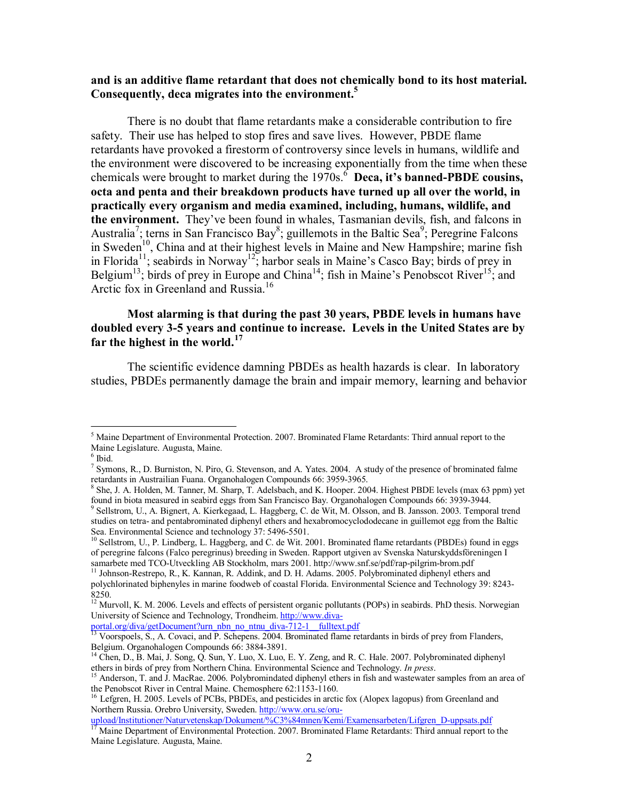### **and is an additive flame retardant that does not chemically bond to its host material. Consequently, deca migrates into the environment.<sup>5</sup>**

There is no doubt that flame retardants make a considerable contribution to fire safety. Their use has helped to stop fires and save lives. However, PBDE flame retardants have provoked a firestorm of controversy since levels in humans, wildlife and the environment were discovered to be increasing exponentially from the time when these chemicals were brought to market during the  $1970s$ .<sup>6</sup> Deca, it's **banned-PBDE** cousins, **octa and penta and their breakdown products have turned up all over the world, in practically every organism and media examined, including, humans, wildlife, and the environment.** They've been found in whales, Tasmanian devils, fish, and falcons in Australia<sup>7</sup>; terns in San Francisco Bay<sup>8</sup>; guillemots in the Baltic Sea<sup>9</sup>; Peregrine Falcons in Sweden<sup>10</sup>, China and at their highest levels in Maine and New Hampshire; marine fish in Florida<sup>11</sup>; seabirds in Norway<sup>12</sup>; harbor seals in Maine's Casco Bay; birds of prey in Belgium<sup>13</sup>; birds of prey in Europe and China<sup>14</sup>; fish in Maine's Penobscot River<sup>15</sup>; and Arctic fox in Greenland and Russia. <sup>16</sup>

### **Most alarming is that during the past 30 years, PBDE levels in humans have doubled every 35 years and continue to increase. Levels in the United States are by far the highest in the world.<sup>17</sup>**

The scientific evidence damning PBDEs as health hazards is clear. In laboratory studies, PBDEs permanently damage the brain and impair memory, learning and behavior

portal.org/diva/getDocument?urn\_nbn\_no\_ntnu\_diva-712-1\_\_fulltext.pdf

 $<sup>5</sup>$  Maine Department of Environmental Protection. 2007. Brominated Flame Retardants: Third annual report to the</sup>

Maine Legislature. Augusta, Maine.<br><sup>6</sup> Ibid. <sup>7</sup> Symons, R., D. Burniston, N. Piro, G. Stevenson, and A. Yates. 2004. A study of the presence of brominated falme retardants in Austrailian Fuana. Organohalogen Compounds 66

 $8$  She, J. A. Holden, M. Tanner, M. Sharp, T. Adelsbach, and K. Hooper. 2004. Highest PBDE levels (max 63 ppm) yet found in biota measured in seabird eggs from San Francisco Bay. Organohalogen Compounds 66: 3939-3944.  $\frac{1}{9}$  Sellstrom, U., A. Bignert, A. Kierkegaad, L. Haggberg, C. de Wit, M. Olsson, and B. Jansson. 2003. Temporal trend studies on tetra- and pentabrominated diphenyl ethers and hexabromocyclododecane in guillemot egg from the Baltic<br>Sea. Environmental Science and technology 37: 5496-5501.

<sup>&</sup>lt;sup>10</sup> Sellstrom, U., P. Lindberg, L. Haggberg, and C. de Wit. 2001. Brominated flame retardants (PBDEs) found in eggs of peregrine falcons (Falco peregrinus) breeding in Sweden. Rapport utgiven av Svenska Naturskyddsföreningen I samarbete med TCO-Utveckling AB Stockholm, mars 2001. http://www.snf.se/pdf/rap-pilgrim-brom.pdf

<sup>&</sup>lt;sup>11</sup> Johnson-Restrepo, R., K. Kannan, R. Addink, and D. H. Adams. 2005. Polybrominated diphenyl ethers and polychlorinated biphenyles in marine foodweb of coastal Florida. Environmental Science and Technology 39: 8243

<sup>8250.&</sup>lt;br><sup>12</sup> Murvoll, K. M. 2006. Levels and effects of persistent organic pollutants (POPs) in seabirds. PhD thesis. Norwegian University of Science and Technology, Trondheim. http://www.diva

<sup>&</sup>lt;sup>13</sup> Voorspoels, S., A. Covaci, and P. Schepens. 2004. Brominated flame retardants in birds of prey from Flanders, Belgium. Organohalogen Compounds 66: 3884-3891.<br><sup>14</sup> Chen, D., B. Mai, J. Song, Q. Sun, Y. Luo, X. Luo, E. Y. Zeng, and R. C. Hale. 2007. Polybrominated diphenyl

ethers in birds of prey from Northern China. Environmental Science and Technology. *In press*.<br><sup>15</sup> Anderson, T. and J. MacRae. 2006. Polybromindated diphenyl ethers in fish and wastewater samples from an area of

the Penobscot River in Central Maine. Chemosphere 62:1153-1160.<br><sup>16</sup> Lefgren, H. 2005. Levels of PCBs, PBDEs, and pesticides in arctic fox (Alopex lagopus) from Greenland and

Northern Russia. Orebro University, Sweden. http://www.oru.se/oru

[upload/Institutioner/Naturvetenskap/Dokument/%C3%84mnen/Kemi/Examensarbeten/Lifgren\\_Duppsats.pdf](http://www.oru.se/oru-upload/Institutioner/Naturvetenskap/Dokument/%C3%84mnen/Kemi/Examensarbeten/Lifgren_D-uppsats.pdf) <sup>17</sup> Maine Department of Environmental Protection. 2007. Brominated Flame Retardants: Third annual report to the Maine Legislature. Augusta, Maine.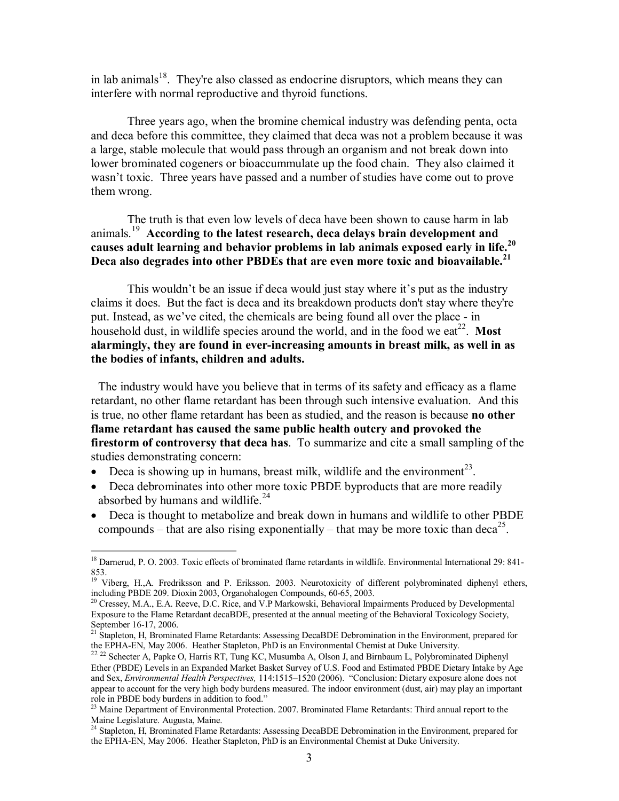in lab animals<sup>18</sup>. They're also classed as endocrine disruptors, which means they can interfere with normal reproductive and thyroid functions.

Three years ago, when the bromine chemical industry was defending penta, octa and deca before this committee, they claimed that deca was not a problem because it was a large, stable molecule that would pass through an organism and not break down into lower brominated cogeners or bioaccummulate up the food chain. They also claimed it wasn't toxic. Three years have passed and a number of studies have come out to prove them wrong.

The truth is that even low levels of deca have been shown to cause harm in lab animals.<sup>19</sup> **According to the latest research, deca delays brain development and causes adult learning and behavior problems in lab animals exposed early in life.<sup>20</sup> Deca also degrades into other PBDEs that are even more toxic and bioavailable.<sup>21</sup>**

This wouldn't be an issue if deca would just stay where it's put as the industry claims it does. But the fact is deca and its breakdown products don't stay where they're put. Instead, as we've cited, the chemicals are being found all over the place - in household dust, in wildlife species around the world, and in the food we eat<sup>22</sup>. Most **alarmingly, they are found in everincreasing amounts in breast milk, as well in as the bodies of infants, children and adults.**

The industry would have you believe that in terms of its safety and efficacy as a flame retardant, no other flame retardant has been through such intensive evaluation. And this is true, no other flame retardant has been as studied, and the reason is because **no other flame retardant has caused the same public health outcry and provoked the firestorm of controversy that deca has**. To summarize and cite a small sampling of the studies demonstrating concern:

- Deca is showing up in humans, breast milk, wildlife and the environment<sup>23</sup>.
- Deca debrominates into other more toxic PBDE byproducts that are more readily absorbed by humans and wildlife. <sup>24</sup>
- · Deca is thought to metabolize and break down in humans and wildlife to other PBDE compounds – that are also rising exponentially – that may be more toxic than deca<sup>25</sup>.

<sup>&</sup>lt;sup>18</sup> Darnerud, P. O. 2003. Toxic effects of brominated flame retardants in wildlife. Environmental International 29: 841-853.<br><sup>19</sup> Viberg, H.,A. Fredriksson and P. Eriksson. 2003. Neurotoxicity of different polybrominated diphenyl ethers,

including PBDE 209. Dioxin 2003, Organohalogen Compounds, 60-65, 2003.<br><sup>20</sup> Cressey, M.A., E.A. Reeve, D.C. Rice, and V.P Markowski, Behavioral Impairments Produced by Developmental

Exposure to the Flame Retardant decaBDE, presented at the annual meeting of the Behavioral Toxicology Society,

September 16-17, 2006.<br><sup>21</sup> Stapleton, H, Brominated Flame Retardants: Assessing DecaBDE Debromination in the Environment, prepared for<br>the EPHA-EN, May 2006. Heather Stapleton, PhD is an Environmental Chemist at Duke Univ

<sup>&</sup>lt;sup>22 22</sup> Schecter A, Papke O, Harris RT, Tung KC, Musumba A, Olson J, and Birnbaum L, Polybrominated Diphenyl Ether (PBDE) Levels in an Expanded Market Basket Survey of U.S. Food and Estimated PBDE Dietary Intake by Age and Sex, *Environmental Health Perspectives,* 114:1515–1520 (2006). "Conclusion: Dietary exposure alone does not appear to account for the very high body burdens measured. The indoor environment (dust, air) may play an important role in PBDE body burdens in addition to food."<br><sup>23</sup> Maine Department of Environmental Protection. 2007. Brominated Flame Retardants: Third annual report to the

Maine Legislature. Augusta, Maine.<br><sup>24</sup> Stapleton, H, Brominated Flame Retardants: Assessing DecaBDE Debromination in the Environment, prepared for

the EPHAEN, May 2006. Heather Stapleton, PhD is an Environmental Chemist at Duke University.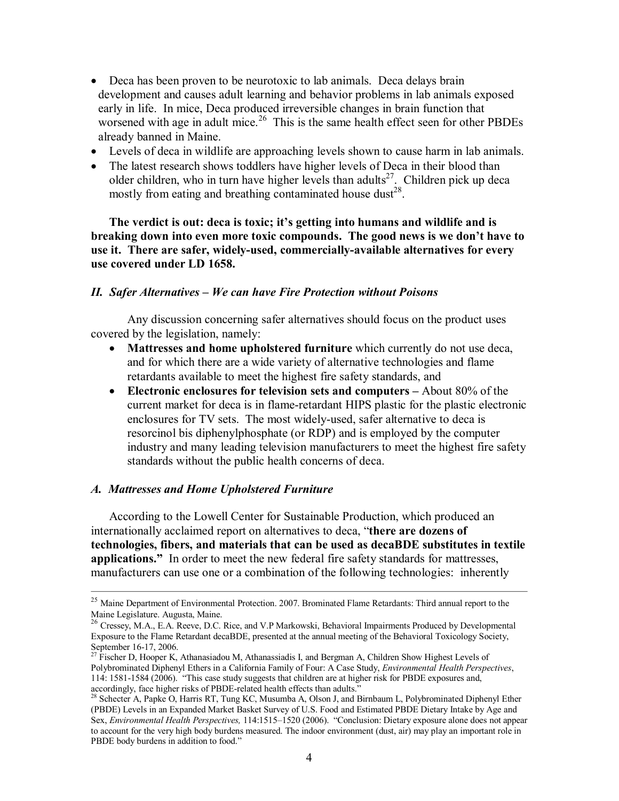- Deca has been proven to be neurotoxic to lab animals. Deca delays brain development and causes adult learning and behavior problems in lab animals exposed early in life. In mice, Deca produced irreversible changes in brain function that worsened with age in adult mice.<sup>26</sup> This is the same health effect seen for other PBDEs already banned in Maine.
- · Levels of deca in wildlife are approaching levels shown to cause harm in lab animals.
- The latest research shows toddlers have higher levels of Deca in their blood than older children, who in turn have higher levels than adults<sup>27</sup>. Children pick up deca mostly from eating and breathing contaminated house dust<sup>28</sup>.

**The verdict is out: deca is toxic; it's getting into humans and wildlife and is breaking down into even more toxic compounds. The good news is we don't have to use** it. There are safer, widely-used, commercially-available alternatives for every **use covered under LD 1658.**

### *II. Safer Alternatives – We can have Fire Protection without Poisons*

Any discussion concerning safer alternatives should focus on the product uses covered by the legislation, namely:

- · **Mattresses and home upholstered furniture** which currently do not use deca, and for which there are a wide variety of alternative technologies and flame retardants available to meet the highest fire safety standards, and
- · **Electronic enclosures for television sets and computers –** About 80% of the current market for deca is in flame-retardant HIPS plastic for the plastic electronic enclosures for TV sets. The most widely-used, safer alternative to deca is resorcinol bis diphenylphosphate (or RDP) and is employed by the computer industry and many leading television manufacturers to meet the highest fire safety standards without the public health concerns of deca.

#### *A. Mattresses and Home Upholstered Furniture*

According to the Lowell Center for Sustainable Production, which produced an internationally acclaimed report on alternatives to deca, "**there are dozens of technologies, fibers, and materials that can be used as decaBDE substitutes in textile applications."** In order to meet the new federal fire safety standards for mattresses, manufacturers can use one or a combination of the following technologies: inherently

<sup>&</sup>lt;sup>25</sup> Maine Department of Environmental Protection. 2007. Brominated Flame Retardants: Third annual report to the Maine Legislature. Augusta, Maine.<br><sup>26</sup> Cressey, M.A., E.A. Reeve, D.C. Rice, and V.P Markowski, Behavioral Impairments Produced by Developmental

Exposure to the Flame Retardant decaBDE, presented at the annual meeting of the Behavioral Toxicology Society, September 16-17, 2006.<br><sup>27</sup> Fischer D, Hooper K, Athanasiadou M, Athanassiadis I, and Bergman A, Children Show Highest Levels of

Polybrominated Diphenyl Ethers in a California Family of Four: A Case Study, *Environmental Health Perspectives*, 114: 15811584 (2006). "This case study suggests that children are at higher risk for PBDE exposures and, accordingly, face higher risks of PBDE-related health effects than adults."<br><sup>28</sup> Schecter A, Papke O, Harris RT, Tung KC, Musumba A, Olson J, and Birnbaum L, Polybrominated Diphenyl Ether

<sup>(</sup>PBDE) Levels in an Expanded Market Basket Survey of U.S. Food and Estimated PBDE Dietary Intake by Age and Sex, *Environmental Health Perspectives,* 114:1515–1520 (2006). "Conclusion: Dietary exposure alone does not appear to account for the very high body burdens measured. The indoor environment (dust, air) may play an important role in PBDE body burdens in addition to food."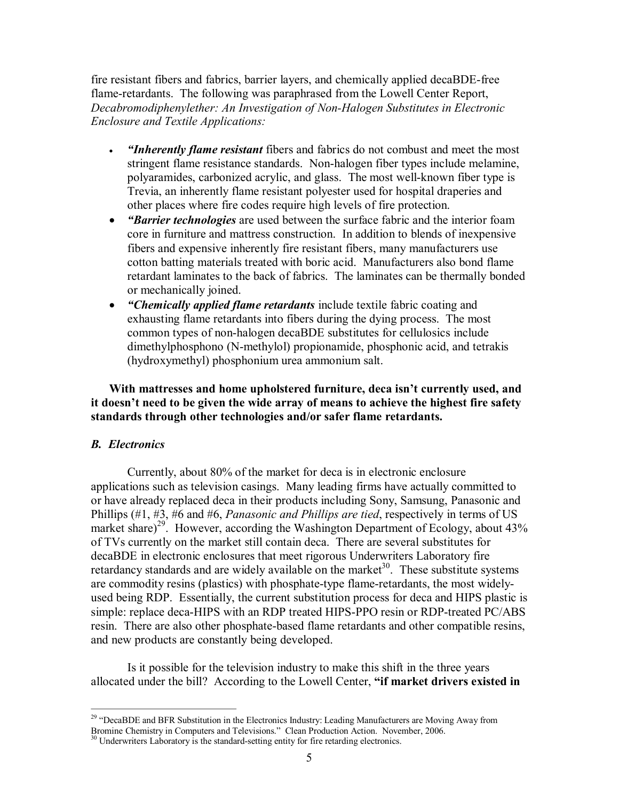fire resistant fibers and fabrics, barrier layers, and chemically applied decaBDE-free flame-retardants. The following was paraphrased from the Lowell Center Report, *Decabromodiphenylether: An Investigation of NonHalogen Substitutes in Electronic Enclosure and Textile Applications:*

- · *"Inherently flame resistant* fibers and fabrics do not combust and meet the most stringent flame resistance standards. Non-halogen fiber types include melamine, polyaramides, carbonized acrylic, and glass. The most well-known fiber type is Trevia, an inherently flame resistant polyester used for hospital draperies and other places where fire codes require high levels of fire protection.
- · *"Barrier technologies* are used between the surface fabric and the interior foam core in furniture and mattress construction. In addition to blends of inexpensive fibers and expensive inherently fire resistant fibers, many manufacturers use cotton batting materials treated with boric acid. Manufacturers also bond flame retardant laminates to the back of fabrics. The laminates can be thermally bonded or mechanically joined.
- · *"Chemically applied flame retardants* include textile fabric coating and exhausting flame retardants into fibers during the dying process. The most common types of non-halogen decaBDE substitutes for cellulosics include dimethylphosphono (N-methylol) propionamide, phosphonic acid, and tetrakis (hydroxymethyl) phosphonium urea ammonium salt.

**With mattresses and home upholstered furniture, deca isn't currently used, and it doesn't need to be given the wide array of means to achieve the highest fire safety standards through other technologies and/or safer flame retardants.**

# *B. Electronics*

Currently, about 80% of the market for deca is in electronic enclosure applications such as television casings. Many leading firms have actually committed to or have already replaced deca in their products including Sony, Samsung, Panasonic and Phillips (#1, #3, #6 and #6, *Panasonic and Phillips are tied*, respectively in terms of US market share)<sup>29</sup>. However, according the Washington Department of Ecology, about 43% of TVs currently on the market still contain deca. There are several substitutes for decaBDE in electronic enclosures that meet rigorous Underwriters Laboratory fire retardancy standards and are widely available on the market<sup>30</sup>. These substitute systems are commodity resins (plastics) with phosphate-type flame-retardants, the most widelyused being RDP. Essentially, the current substitution process for deca and HIPS plastic is simple: replace deca-HIPS with an RDP treated HIPS-PPO resin or RDP-treated PC/ABS resin. There are also other phosphate-based flame retardants and other compatible resins, and new products are constantly being developed.

Is it possible for the television industry to make this shift in the three years allocated under the bill? According to the Lowell Center, **"if market drivers existed in**

<sup>&</sup>lt;sup>29</sup> "DecaBDE and BFR Substitution in the Electronics Industry: Leading Manufacturers are Moving Away from Bromine Chemistry in Computers and Televisions." Clean Production Action. November, 2006.

 $30$  Underwriters Laboratory is the standard-setting entity for fire retarding electronics.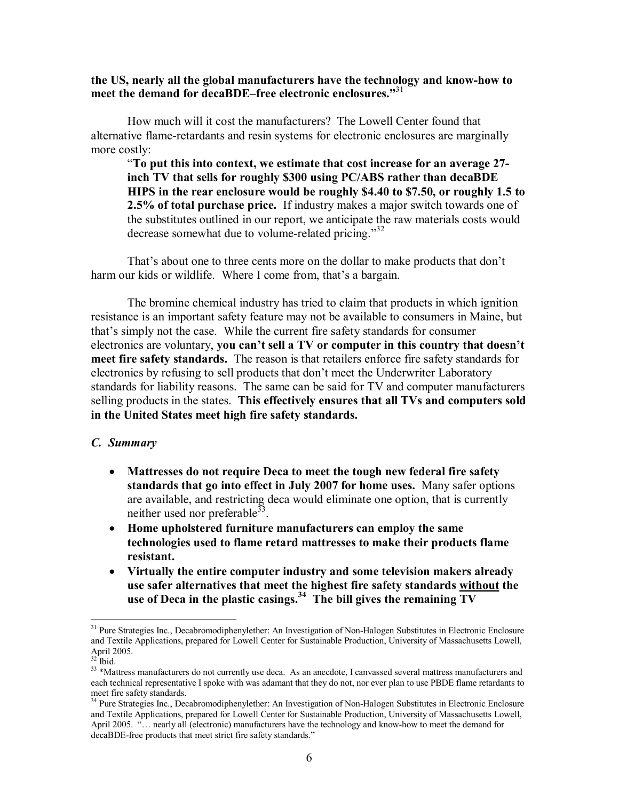**the US, nearly all the global manufacturers have the technology and knowhow to meet the demand for decaBDE–free electronic enclosures."** 31

How much will it cost the manufacturers? The Lowell Center found that alternative flame-retardants and resin systems for electronic enclosures are marginally more costly:

"**To put this into context, we estimate that cost increase for an average 27 inch TV that sells for roughly \$300 using PC/ABS rather than decaBDE HIPS in the rear enclosure would be roughly \$4.40 to \$7.50, or roughly 1.5 to 2.5% of total purchase price.** If industry makes a major switch towards one of the substitutes outlined in our report, we anticipate the raw materials costs would decrease somewhat due to volume-related pricing." $32$ 

That's about one to three cents more on the dollar to make products that don't harm our kids or wildlife. Where I come from, that's a bargain.

The bromine chemical industry has tried to claim that products in which ignition resistance is an important safety feature may not be available to consumers in Maine, but that's simply not the case. While the current fire safety standards for consumer electronics are voluntary, **you can't sell a TV or computer in this country that doesn't meet fire safety standards.** The reason is that retailers enforce fire safety standards for electronics by refusing to sell products that don't meet the Underwriter Laboratory standards for liability reasons. The same can be said for TV and computer manufacturers selling products in the states. **This effectively ensures that all TVs and computers sold in the United States meet high fire safety standards.**

#### *C. Summary*

- · **Mattresses do not require Deca to meet the tough new federal fire safety standards that go into effect in July 2007 for home uses.** Many safer options are available, and restricting deca would eliminate one option, that is currently neither used nor preferable  $33$ .
- · **Home upholstered furniture manufacturers can employ the same technologies used to flame retard mattresses to make their products flame resistant.**
- · **Virtually the entire computer industry and some television makers already use safer alternatives that meet the highest fire safety standards without the use of Deca in the plastic casings.<sup>34</sup> The bill gives the remaining TV**

<sup>&</sup>lt;sup>31</sup> Pure Strategies Inc., Decabromodiphenylether: An Investigation of Non-Halogen Substitutes in Electronic Enclosure and Textile Applications, prepared for Lowell Center for Sustainable Production, University of Massachusetts Lowell, April 2005.<br><sup>32</sup> Ibid.

<sup>&</sup>lt;sup>33</sup> \*Mattress manufacturers do not currently use deca. As an anecdote, I canvassed several mattress manufacturers and each technical representative I spoke with was adamant that they do not, nor ever plan to use PBDE flame retardants to meet fire safety standards.<br><sup>34</sup> Pure Strategies Inc., Decabromodiphenylether: An Investigation of Non-Halogen Substitutes in Electronic Enclosure

and Textile Applications, prepared for Lowell Center for Sustainable Production, University of Massachusetts Lowell, April 2005. "... nearly all (electronic) manufacturers have the technology and know-how to meet the demand for decaBDE-free products that meet strict fire safety standards."